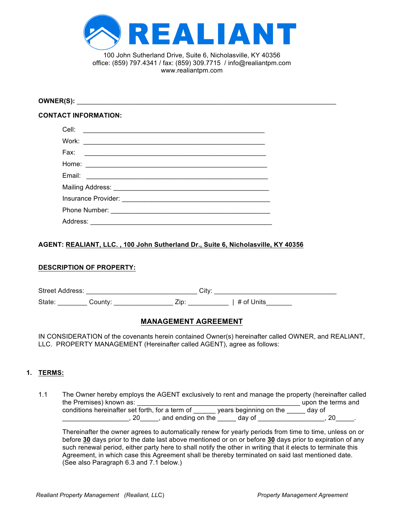

100 John Sutherland Drive, Suite 6, Nicholasville, KY 40356 office: (859) 797.4341 / fax: (859) 309.7715 / info@realiantpm.com www.realiantpm.com

# **OWNER(S):** \_\_\_\_\_\_\_\_\_\_\_\_\_\_\_\_\_\_\_\_\_\_\_\_\_\_\_\_\_\_\_\_\_\_\_\_\_\_\_\_\_\_\_\_\_\_\_\_\_\_\_\_\_\_\_\_\_\_\_\_\_\_\_\_\_\_\_\_\_\_

#### **CONTACT INFORMATION:**

| Cell:                                              |  |
|----------------------------------------------------|--|
| Work:                                              |  |
| Fax:<br><u> 1980 - Johann John Stone, markin f</u> |  |
| Home:                                              |  |
| Email:                                             |  |
|                                                    |  |
|                                                    |  |
|                                                    |  |
|                                                    |  |

# **AGENT: REALIANT, LLC. , 100 John Sutherland Dr., Suite 6, Nicholasville, KY 40356**

# **DESCRIPTION OF PROPERTY:**

Street Address: \_\_\_\_\_\_\_\_\_\_\_\_\_\_\_\_\_\_\_\_\_\_\_\_\_\_\_\_\_\_ City: \_\_\_\_\_\_\_\_\_\_\_\_\_\_\_\_\_\_\_\_\_\_\_\_\_\_\_\_\_\_\_\_\_

State: \_\_\_\_\_\_\_\_\_ County: \_\_\_\_\_\_\_\_\_\_\_\_\_\_\_\_\_\_\_\_\_ Zip: \_\_\_\_\_\_\_\_\_\_\_\_\_\_\_\_ | # of Units\_\_\_\_\_\_\_

# **MANAGEMENT AGREEMENT**

IN CONSIDERATION of the covenants herein contained Owner(s) hereinafter called OWNER, and REALIANT, LLC. PROPERTY MANAGEMENT (Hereinafter called AGENT), agree as follows:

# **1. TERMS:**

1.1 The Owner hereby employs the AGENT exclusively to rent and manage the property (hereinafter called the Premises) known as: \_\_\_\_\_\_\_\_\_\_\_\_\_\_\_\_\_\_\_\_\_\_\_\_\_\_\_\_\_\_\_\_\_\_\_\_\_\_\_\_\_\_\_\_ upon the terms and conditions hereinafter set forth, for a term of \_\_\_\_\_\_ years beginning on the \_\_\_\_\_ day of \_\_\_\_\_\_\_\_\_\_\_\_\_\_\_\_\_\_\_\_, 20\_\_\_\_\_\_, and ending on the \_\_\_\_\_ day of \_\_\_\_\_\_\_\_\_\_\_\_\_\_\_\_\_, 20\_\_\_\_\_.

Thereinafter the owner agrees to automatically renew for yearly periods from time to time, unless on or before **30** days prior to the date last above mentioned or on or before **30** days prior to expiration of any such renewal period, either party here to shall notify the other in writing that it elects to terminate this Agreement, in which case this Agreement shall be thereby terminated on said last mentioned date. (See also Paragraph 6.3 and 7.1 below.)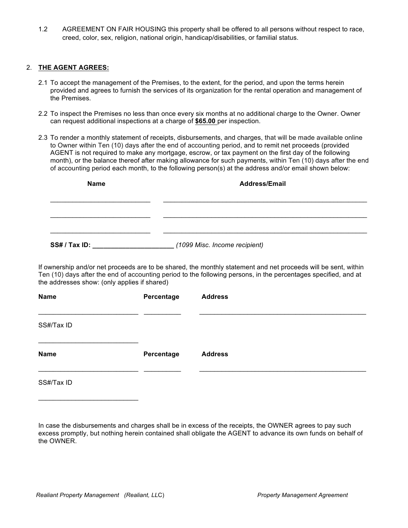1.2 AGREEMENT ON FAIR HOUSING this property shall be offered to all persons without respect to race, creed, color, sex, religion, national origin, handicap/disabilities, or familial status.

## 2. **THE AGENT AGREES:**

- 2.1 To accept the management of the Premises, to the extent, for the period, and upon the terms herein provided and agrees to furnish the services of its organization for the rental operation and management of the Premises.
- 2.2 To inspect the Premises no less than once every six months at no additional charge to the Owner. Owner can request additional inspections at a charge of **\$65.00** per inspection.
- 2.3 To render a monthly statement of receipts, disbursements, and charges, that will be made available online to Owner within Ten (10) days after the end of accounting period, and to remit net proceeds (provided AGENT is not required to make any mortgage, escrow, or tax payment on the first day of the following month), or the balance thereof after making allowance for such payments, within Ten (10) days after the end of accounting period each month, to the following person(s) at the address and/or email shown below:

| <b>Name</b>   | <b>Address/Email</b>          |  |  |
|---------------|-------------------------------|--|--|
|               |                               |  |  |
|               |                               |  |  |
|               |                               |  |  |
| SS# / Tax ID: | (1099 Misc. Income recipient) |  |  |

If ownership and/or net proceeds are to be shared, the monthly statement and net proceeds will be sent, within Ten (10) days after the end of accounting period to the following persons, in the percentages specified, and at the addresses show: (only applies if shared)

| <b>Name</b> | Percentage | <b>Address</b> |
|-------------|------------|----------------|
| SS#/Tax ID  |            |                |
| <b>Name</b> | Percentage | <b>Address</b> |
| SS#/Tax ID  |            |                |

 $\overline{\phantom{a}}$  , where  $\overline{\phantom{a}}$  , where  $\overline{\phantom{a}}$  , where  $\overline{\phantom{a}}$ 

In case the disbursements and charges shall be in excess of the receipts, the OWNER agrees to pay such excess promptly, but nothing herein contained shall obligate the AGENT to advance its own funds on behalf of the OWNER.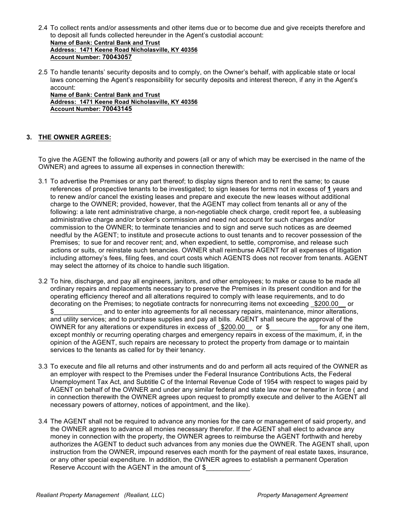- 2.4 To collect rents and/or assessments and other items due or to become due and give receipts therefore and to deposit all funds collected hereunder in the Agent's custodial account: **Name of Bank: Central Bank and Trust Address: 1471 Keene Road Nicholasville, KY 40356 Account Number: 70043057**
- 2.5 To handle tenants' security deposits and to comply, on the Owner's behalf, with applicable state or local laws concerning the Agent's responsibility for security deposits and interest thereon, if any in the Agent's account:

**Name of Bank: Central Bank and Trust Address: 1471 Keene Road Nicholasville, KY 40356 Account Number: 70043145**

# **3. THE OWNER AGREES:**

To give the AGENT the following authority and powers (all or any of which may be exercised in the name of the OWNER) and agrees to assume all expenses in connection therewith:

- 3.1 To advertise the Premises or any part thereof; to display signs thereon and to rent the same; to cause references of prospective tenants to be investigated; to sign leases for terms not in excess of **1** years and to renew and/or cancel the existing leases and prepare and execute the new leases without additional charge to the OWNER; provided, however, that the AGENT may collect from tenants all or any of the following: a late rent administrative charge, a non-negotiable check charge, credit report fee, a subleasing administrative charge and/or broker's commission and need not account for such charges and/or commission to the OWNER; to terminate tenancies and to sign and serve such notices as are deemed needful by the AGENT; to institute and prosecute actions to oust tenants and to recover possession of the Premises; to sue for and recover rent; and, when expedient, to settle, compromise, and release such actions or suits, or reinstate such tenancies. OWNER shall reimburse AGENT for all expenses of litigation including attorney's fees, filing fees, and court costs which AGENTS does not recover from tenants. AGENT may select the attorney of its choice to handle such litigation.
- 3.2 To hire, discharge, and pay all engineers, janitors, and other employees; to make or cause to be made all ordinary repairs and replacements necessary to preserve the Premises in its present condition and for the operating efficiency thereof and all alterations required to comply with lease requirements, and to do decorating on the Premises; to negotiate contracts for nonrecurring items not exceeding \$200.00 or \$\_\_\_\_\_\_\_\_\_\_\_\_\_ and to enter into agreements for all necessary repairs, maintenance, minor alterations, and utility services; and to purchase supplies and pay all bills. AGENT shall secure the approval of the OWNER for any alterations or expenditures in excess of \_\$200.00\_\_ or \$\_\_\_\_\_\_\_\_\_\_\_\_\_ for any one item, except monthly or recurring operating charges and emergency repairs in excess of the maximum, if, in the opinion of the AGENT, such repairs are necessary to protect the property from damage or to maintain services to the tenants as called for by their tenancy.
- 3.3 To execute and file all returns and other instruments and do and perform all acts required of the OWNER as an employer with respect to the Premises under the Federal Insurance Contributions Acts, the Federal Unemployment Tax Act, and Subtitle C of the Internal Revenue Code of 1954 with respect to wages paid by AGENT on behalf of the OWNER and under any similar federal and state law now or hereafter in force ( and in connection therewith the OWNER agrees upon request to promptly execute and deliver to the AGENT all necessary powers of attorney, notices of appointment, and the like).
- 3.4 The AGENT shall not be required to advance any monies for the care or management of said property, and the OWNER agrees to advance all monies necessary therefor. If the AGENT shall elect to advance any money in connection with the property, the OWNER agrees to reimburse the AGENT forthwith and hereby authorizes the AGENT to deduct such advances from any monies due the OWNER. The AGENT shall, upon instruction from the OWNER, impound reserves each month for the payment of real estate taxes, insurance, or any other special expenditure. In addition, the OWNER agrees to establish a permanent Operation Reserve Account with the AGENT in the amount of \$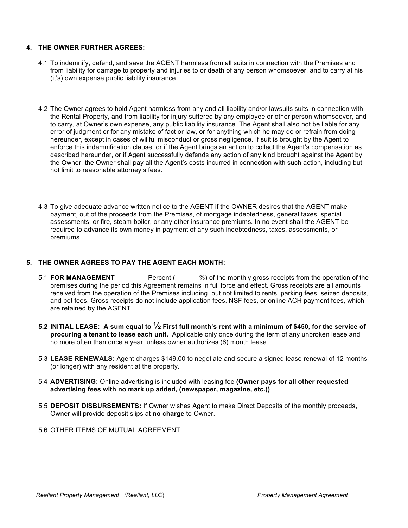#### **4. THE OWNER FURTHER AGREES:**

- 4.1 To indemnify, defend, and save the AGENT harmless from all suits in connection with the Premises and from liability for damage to property and injuries to or death of any person whomsoever, and to carry at his (it's) own expense public liability insurance.
- 4.2 The Owner agrees to hold Agent harmless from any and all liability and/or lawsuits suits in connection with the Rental Property, and from liability for injury suffered by any employee or other person whomsoever, and to carry, at Owner's own expense, any public liability insurance. The Agent shall also not be liable for any error of judgment or for any mistake of fact or law, or for anything which he may do or refrain from doing hereunder, except in cases of willful misconduct or gross negligence. If suit is brought by the Agent to enforce this indemnification clause, or if the Agent brings an action to collect the Agent's compensation as described hereunder, or if Agent successfully defends any action of any kind brought against the Agent by the Owner, the Owner shall pay all the Agent's costs incurred in connection with such action, including but not limit to reasonable attorney's fees.
- 4.3 To give adequate advance written notice to the AGENT if the OWNER desires that the AGENT make payment, out of the proceeds from the Premises, of mortgage indebtedness, general taxes, special assessments, or fire, steam boiler, or any other insurance premiums. In no event shall the AGENT be required to advance its own money in payment of any such indebtedness, taxes, assessments, or premiums.

### **5. THE OWNER AGREES TO PAY THE AGENT EACH MONTH:**

- 5.1 **FOR MANAGEMENT** \_\_\_\_\_\_\_\_ Percent (\_\_\_\_\_\_ %) of the monthly gross receipts from the operation of the premises during the period this Agreement remains in full force and effect. Gross receipts are all amounts received from the operation of the Premises including, but not limited to rents, parking fees, seized deposits, and pet fees. Gross receipts do not include application fees, NSF fees, or online ACH payment fees, which are retained by the AGENT.
- **5.2 INITIAL LEASE: A sum equal to ½ First full month's rent with a minimum of \$450, for the service of procuring a tenant to lease each unit.** Applicable only once during the term of any unbroken lease and no more often than once a year, unless owner authorizes (6) month lease.
- 5.3 **LEASE RENEWALS:** Agent charges \$149.00 to negotiate and secure a signed lease renewal of 12 months (or longer) with any resident at the property.
- 5.4 **ADVERTISING:** Online advertising is included with leasing fee **(Owner pays for all other requested advertising fees with no mark up added, (newspaper, magazine, etc.))**
- 5.5 **DEPOSIT DISBURSEMENTS:** If Owner wishes Agent to make Direct Deposits of the monthly proceeds, Owner will provide deposit slips at **no charge** to Owner.
- 5.6 OTHER ITEMS OF MUTUAL AGREEMENT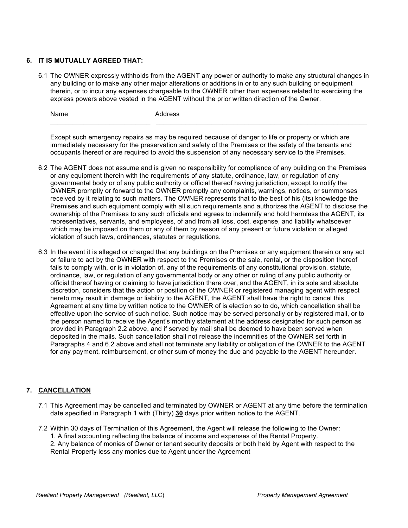## **6. IT IS MUTUALLY AGREED THAT:**

6.1 The OWNER expressly withholds from the AGENT any power or authority to make any structural changes in any building or to make any other major alterations or additions in or to any such building or equipment therein, or to incur any expenses chargeable to the OWNER other than expenses related to exercising the express powers above vested in the AGENT without the prior written direction of the Owner.

\_\_\_\_\_\_\_\_\_\_\_\_\_\_\_\_\_\_\_\_\_\_\_\_\_\_\_ \_\_\_\_\_\_\_\_\_\_\_\_\_\_\_\_\_\_\_\_\_\_\_\_\_\_\_\_\_\_\_\_\_\_\_\_\_\_\_\_\_\_\_\_\_\_\_\_\_\_\_\_\_\_\_\_\_

Name Address

Except such emergency repairs as may be required because of danger to life or property or which are immediately necessary for the preservation and safety of the Premises or the safety of the tenants and occupants thereof or are required to avoid the suspension of any necessary service to the Premises.

- 6.2 The AGENT does not assume and is given no responsibility for compliance of any building on the Premises or any equipment therein with the requirements of any statute, ordinance, law, or regulation of any governmental body or of any public authority or official thereof having jurisdiction, except to notify the OWNER promptly or forward to the OWNER promptly any complaints, warnings, notices, or summonses received by it relating to such matters. The OWNER represents that to the best of his (its) knowledge the Premises and such equipment comply with all such requirements and authorizes the AGENT to disclose the ownership of the Premises to any such officials and agrees to indemnify and hold harmless the AGENT, its representatives, servants, and employees, of and from all loss, cost, expense, and liability whatsoever which may be imposed on them or any of them by reason of any present or future violation or alleged violation of such laws, ordinances, statutes or regulations.
- 6.3 In the event it is alleged or charged that any buildings on the Premises or any equipment therein or any act or failure to act by the OWNER with respect to the Premises or the sale, rental, or the disposition thereof fails to comply with, or is in violation of, any of the requirements of any constitutional provision, statute, ordinance, law, or regulation of any governmental body or any other or ruling of any public authority or official thereof having or claiming to have jurisdiction there over, and the AGENT, in its sole and absolute discretion, considers that the action or position of the OWNER or registered managing agent with respect hereto may result in damage or liability to the AGENT, the AGENT shall have the right to cancel this Agreement at any time by written notice to the OWNER of is election so to do, which cancellation shall be effective upon the service of such notice. Such notice may be served personally or by registered mail, or to the person named to receive the Agent's monthly statement at the address designated for such person as provided in Paragraph 2.2 above, and if served by mail shall be deemed to have been served when deposited in the mails. Such cancellation shall not release the indemnities of the OWNER set forth in Paragraphs 4 and 6.2 above and shall not terminate any liability or obligation of the OWNER to the AGENT for any payment, reimbursement, or other sum of money the due and payable to the AGENT hereunder.

# **7. CANCELLATION**

- 7.1 This Agreement may be cancelled and terminated by OWNER or AGENT at any time before the termination date specified in Paragraph 1 with (Thirty) **30** days prior written notice to the AGENT.
- 7.2 Within 30 days of Termination of this Agreement, the Agent will release the following to the Owner: 1. A final accounting reflecting the balance of income and expenses of the Rental Property.
	- 2. Any balance of monies of Owner or tenant security deposits or both held by Agent with respect to the Rental Property less any monies due to Agent under the Agreement